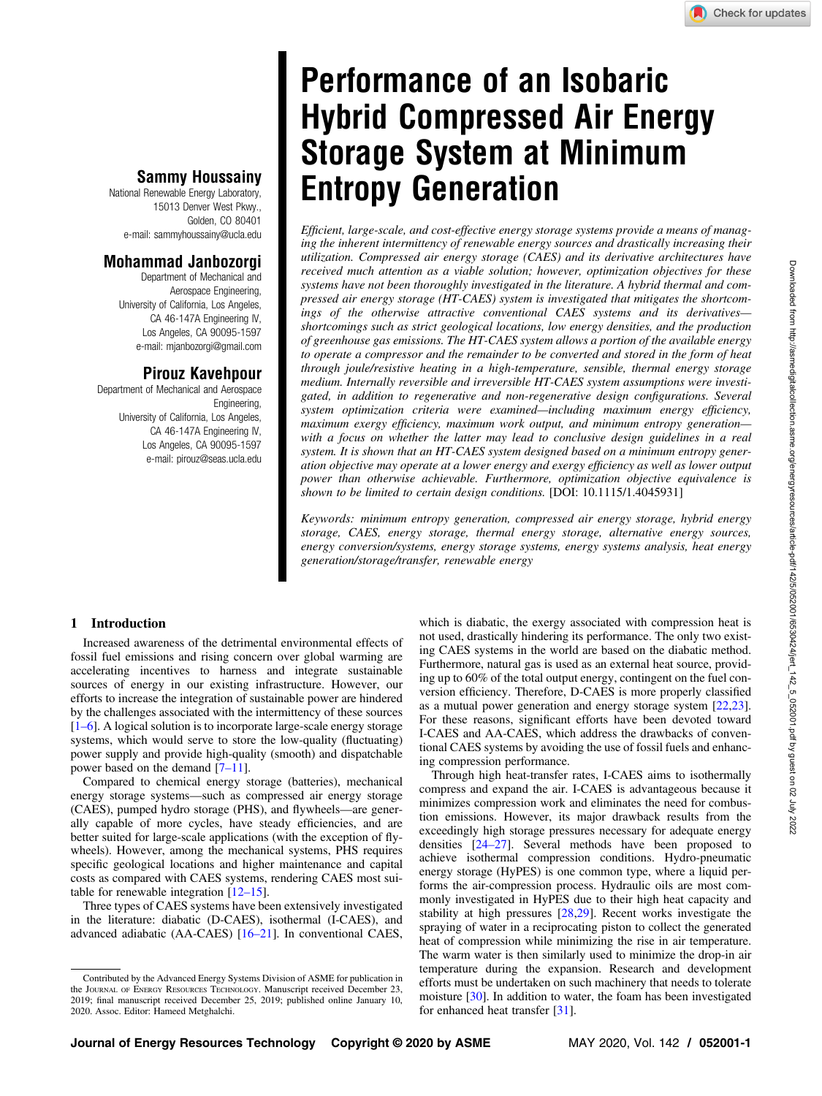# Performance of an Isobaric Hybrid Compressed Air Energy Storage System at Minimum Entropy Generation

Efficient, large-scale, and cost-effective energy storage systems provide a means of managing the inherent intermittency of renewable energy sources and drastically increasing their utilization. Compressed air energy storage (CAES) and its derivative architectures have received much attention as a viable solution; however, optimization objectives for these systems have not been thoroughly investigated in the literature. A hybrid thermal and compressed air energy storage (HT-CAES) system is investigated that mitigates the shortcomings of the otherwise attractive conventional CAES systems and its derivatives shortcomings such as strict geological locations, low energy densities, and the production of greenhouse gas emissions. The HT-CAES system allows a portion of the available energy to operate a compressor and the remainder to be converted and stored in the form of heat through joule/resistive heating in a high-temperature, sensible, thermal energy storage medium. Internally reversible and irreversible HT-CAES system assumptions were investigated, in addition to regenerative and non-regenerative design configurations. Several system optimization criteria were examined—including maximum energy efficiency, maximum exergy efficiency, maximum work output, and minimum entropy generation with a focus on whether the latter may lead to conclusive design guidelines in a real system. It is shown that an HT-CAES system designed based on a minimum entropy generation objective may operate at a lower energy and exergy efficiency as well as lower output power than otherwise achievable. Furthermore, optimization objective equivalence is shown to be limited to certain design conditions. [DOI: 10.1115/1.4045931]

Keywords: minimum entropy generation, compressed air energy storage, hybrid energy storage, CAES, energy storage, thermal energy storage, alternative energy sources, energy conversion/systems, energy storage systems, energy systems analysis, heat energy generation/storage/transfer, renewable energy

# 1 Introduction

Increased awareness of the detrimental environmental effects of fossil fuel emissions and rising concern over global warming are accelerating incentives to harness and integrate sustainable sources of energy in our existing infrastructure. However, our efforts to increase the integration of sustainable power are hindered by the challenges associated with the intermittency of these sources [1–6]. A logical solution is to incorporate large-scale energy storage systems, which would serve to store the low-quality (fluctuating) power supply and provide high-quality (smooth) and dispatchable power based on the demand [7–11].

Sammy Houssainy National Renewable Energy Laboratory, 15013 Denver West Pkwy., Golden, CO 80401

e-mail: [sammyhoussainy@ucla.edu](mailto:sammyhoussainy@ucla.edu)

Mohammad Janbozorgi Department of Mechanical and Aerospace Engineering,

University of California, Los Angeles, CA 46-147A Engineering IV, Los Angeles, CA 90095-1597 e-mail: [mjanbozorgi@gmail.com](mailto:mjanbozorgi@gmail.com)

Pirouz Kavehpour Department of Mechanical and Aerospace

> University of California, Los Angeles, CA 46-147A Engineering IV, Los Angeles, CA 90095-1597 e-mail: [pirouz@seas.ucla.edu](mailto:pirouz@seas.ucla.edu)

Engineering,

Compared to chemical energy storage (batteries), mechanical energy storage systems—such as compressed air energy storage (CAES), pumped hydro storage (PHS), and flywheels—are generally capable of more cycles, have steady efficiencies, and are better suited for large-scale applications (with the exception of flywheels). However, among the mechanical systems, PHS requires specific geological locations and higher maintenance and capital costs as compared with CAES systems, rendering CAES most suitable for renewable integration [12–15].

Three types of CAES systems have been extensively investigated in the literature: diabatic (D-CAES), isothermal (I-CAES), and advanced adiabatic (AA-CAES) [16–21]. In conventional CAES, which is diabatic, the exergy associated with compression heat is not used, drastically hindering its performance. The only two existing CAES systems in the world are based on the diabatic method. Furthermore, natural gas is used as an external heat source, providing up to 60% of the total output energy, contingent on the fuel conversion efficiency. Therefore, D-CAES is more properly classified as a mutual power generation and energy storage system [[22,23\]](#page-8-0). For these reasons, significant efforts have been devoted toward I-CAES and AA-CAES, which address the drawbacks of conventional CAES systems by avoiding the use of fossil fuels and enhancing compression performance.

Through high heat-transfer rates, I-CAES aims to isothermally compress and expand the air. I-CAES is advantageous because it minimizes compression work and eliminates the need for combustion emissions. However, its major drawback results from the exceedingly high storage pressures necessary for adequate energy densities [24–27]. Several methods have been proposed to achieve isothermal compression conditions. Hydro-pneumatic energy storage (HyPES) is one common type, where a liquid performs the air-compression process. Hydraulic oils are most commonly investigated in HyPES due to their high heat capacity and stability at high pressures [[28,29\]](#page-8-0). Recent works investigate the spraying of water in a reciprocating piston to collect the generated heat of compression while minimizing the rise in air temperature. The warm water is then similarly used to minimize the drop-in air temperature during the expansion. Research and development efforts must be undertaken on such machinery that needs to tolerate moisture [[30\]](#page-8-0). In addition to water, the foam has been investigated for enhanced heat transfer [[31](#page-8-0)].

Contributed by the Advanced Energy Systems Division of ASME for publication in the JOURNAL OF ENERGY RESOURCES TECHNOLOGY. Manuscript received December 23, 2019; final manuscript received December 25, 2019; published online January 10, 2020. Assoc. Editor: Hameed Metghalchi.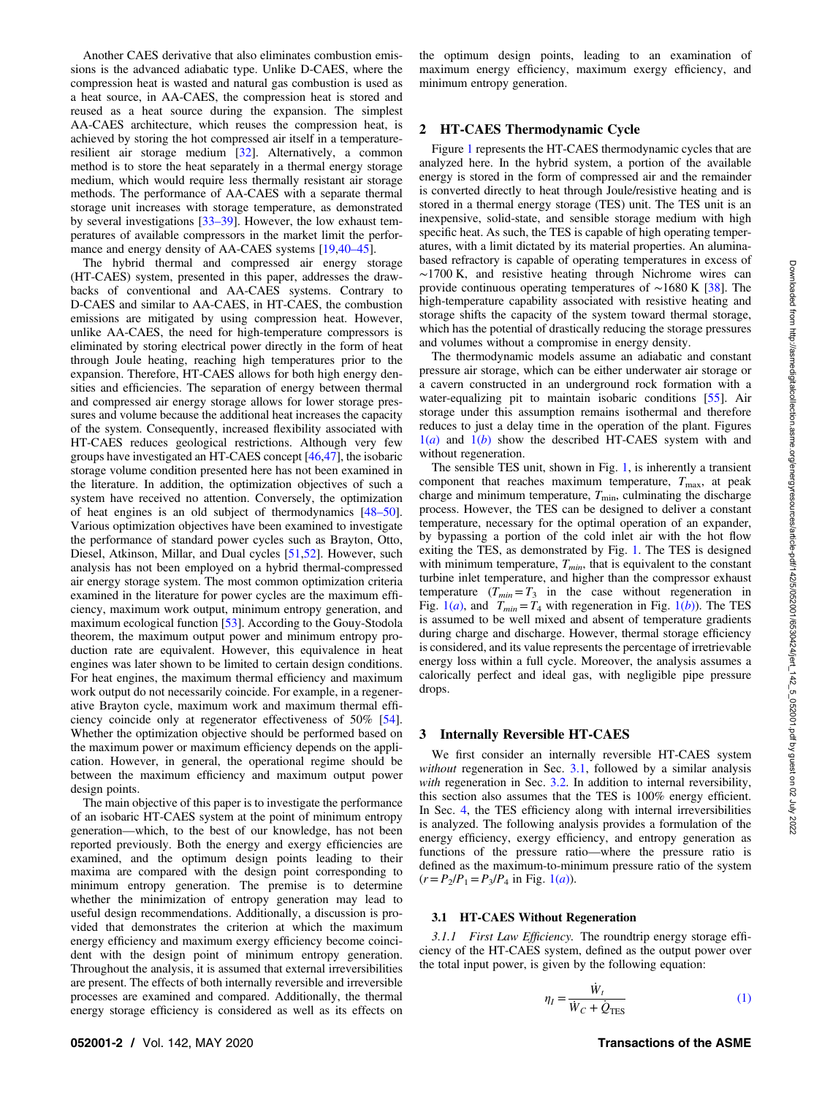<span id="page-1-0"></span>Another CAES derivative that also eliminates combustion emissions is the advanced adiabatic type. Unlike D-CAES, where the compression heat is wasted and natural gas combustion is used as a heat source, in AA-CAES, the compression heat is stored and reused as a heat source during the expansion. The simplest AA-CAES architecture, which reuses the compression heat, is achieved by storing the hot compressed air itself in a temperatureresilient air storage medium [[32\]](#page-8-0). Alternatively, a common method is to store the heat separately in a thermal energy storage medium, which would require less thermally resistant air storage methods. The performance of AA-CAES with a separate thermal storage unit increases with storage temperature, as demonstrated by several investigations [33–39]. However, the low exhaust temperatures of available compressors in the market limit the performance and energy density of AA-CAES systems [\[19](#page-8-0),40–45].

The hybrid thermal and compressed air energy storage (HT-CAES) system, presented in this paper, addresses the drawbacks of conventional and AA-CAES systems. Contrary to D-CAES and similar to AA-CAES, in HT-CAES, the combustion emissions are mitigated by using compression heat. However, unlike AA-CAES, the need for high-temperature compressors is eliminated by storing electrical power directly in the form of heat through Joule heating, reaching high temperatures prior to the expansion. Therefore, HT-CAES allows for both high energy densities and efficiencies. The separation of energy between thermal and compressed air energy storage allows for lower storage pressures and volume because the additional heat increases the capacity of the system. Consequently, increased flexibility associated with HT-CAES reduces geological restrictions. Although very few groups have investigated an HT-CAES concept [[46,47](#page-8-0)], the isobaric storage volume condition presented here has not been examined in the literature. In addition, the optimization objectives of such a system have received no attention. Conversely, the optimization of heat engines is an old subject of thermodynamics [48–50]. Various optimization objectives have been examined to investigate the performance of standard power cycles such as Brayton, Otto, Diesel, Atkinson, Millar, and Dual cycles [\[51](#page-8-0),[52\]](#page-8-0). However, such analysis has not been employed on a hybrid thermal-compressed air energy storage system. The most common optimization criteria examined in the literature for power cycles are the maximum efficiency, maximum work output, minimum entropy generation, and maximum ecological function [[53\]](#page-8-0). According to the Gouy-Stodola theorem, the maximum output power and minimum entropy production rate are equivalent. However, this equivalence in heat engines was later shown to be limited to certain design conditions. For heat engines, the maximum thermal efficiency and maximum work output do not necessarily coincide. For example, in a regenerative Brayton cycle, maximum work and maximum thermal efficiency coincide only at regenerator effectiveness of 50% [[54\]](#page-8-0). Whether the optimization objective should be performed based on the maximum power or maximum efficiency depends on the application. However, in general, the operational regime should be between the maximum efficiency and maximum output power design points.

The main objective of this paper is to investigate the performance of an isobaric HT-CAES system at the point of minimum entropy generation—which, to the best of our knowledge, has not been reported previously. Both the energy and exergy efficiencies are examined, and the optimum design points leading to their maxima are compared with the design point corresponding to minimum entropy generation. The premise is to determine whether the minimization of entropy generation may lead to useful design recommendations. Additionally, a discussion is provided that demonstrates the criterion at which the maximum energy efficiency and maximum exergy efficiency become coincident with the design point of minimum entropy generation. Throughout the analysis, it is assumed that external irreversibilities are present. The effects of both internally reversible and irreversible processes are examined and compared. Additionally, the thermal energy storage efficiency is considered as well as its effects on the optimum design points, leading to an examination of maximum energy efficiency, maximum exergy efficiency, and minimum entropy generation.

## 2 HT-CAES Thermodynamic Cycle

Figure [1](#page-2-0) represents the HT-CAES thermodynamic cycles that are analyzed here. In the hybrid system, a portion of the available energy is stored in the form of compressed air and the remainder is converted directly to heat through Joule/resistive heating and is stored in a thermal energy storage (TES) unit. The TES unit is an inexpensive, solid-state, and sensible storage medium with high specific heat. As such, the TES is capable of high operating temperatures, with a limit dictated by its material properties. An aluminabased refractory is capable of operating temperatures in excess of ∼1700 K, and resistive heating through Nichrome wires can provide continuous operating temperatures of ∼1680 K [[38\]](#page-8-0). The high-temperature capability associated with resistive heating and storage shifts the capacity of the system toward thermal storage, which has the potential of drastically reducing the storage pressures and volumes without a compromise in energy density.

The thermodynamic models assume an adiabatic and constant pressure air storage, which can be either underwater air storage or a cavern constructed in an underground rock formation with a water-equalizing pit to maintain isobaric conditions [\[55](#page-8-0)]. Air storage under this assumption remains isothermal and therefore reduces to just a delay time in the operation of the plant. Figures  $1(a)$  $1(a)$  and  $1(b)$  show the described HT-CAES system with and without regeneration.

The sensible TES unit, shown in Fig. [1,](#page-2-0) is inherently a transient component that reaches maximum temperature,  $T_{\text{max}}$ , at peak charge and minimum temperature,  $T_{\text{min}}$ , culminating the discharge process. However, the TES can be designed to deliver a constant temperature, necessary for the optimal operation of an expander, by bypassing a portion of the cold inlet air with the hot flow exiting the TES, as demonstrated by Fig. [1](#page-2-0). The TES is designed with minimum temperature,  $T_{min}$ , that is equivalent to the constant turbine inlet temperature, and higher than the compressor exhaust temperature  $(T_{min} = T_3$  in the case without regeneration in Fig. [1\(](#page-2-0)*a*), and  $T_{min} = T_4$  with regeneration in Fig. 1(*b*)). The TES is assumed to be well mixed and absent of temperature gradients during charge and discharge. However, thermal storage efficiency is considered, and its value represents the percentage of irretrievable energy loss within a full cycle. Moreover, the analysis assumes a calorically perfect and ideal gas, with negligible pipe pressure drops.

#### 3 Internally Reversible HT-CAES

We first consider an internally reversible HT-CAES system without regeneration in Sec. 3.1, followed by a similar analysis with regeneration in Sec. [3.2.](#page-3-0) In addition to internal reversibility, this section also assumes that the TES is 100% energy efficient. In Sec. [4](#page-4-0), the TES efficiency along with internal irreversibilities is analyzed. The following analysis provides a formulation of the energy efficiency, exergy efficiency, and entropy generation as functions of the pressure ratio—where the pressure ratio is defined as the maximum-to-minimum pressure ratio of the system  $(r = P_2/P_1 = P_3/P_4$  in Fig. [1\(](#page-2-0)*a*)).

### 3.1 HT-CAES Without Regeneration

3.1.1 First Law Efficiency. The roundtrip energy storage efficiency of the HT-CAES system, defined as the output power over the total input power, is given by the following equation:

$$
\eta_I = \frac{\dot{W}_t}{\dot{W}_C + \dot{Q}_{\text{TES}}}
$$
\n(1)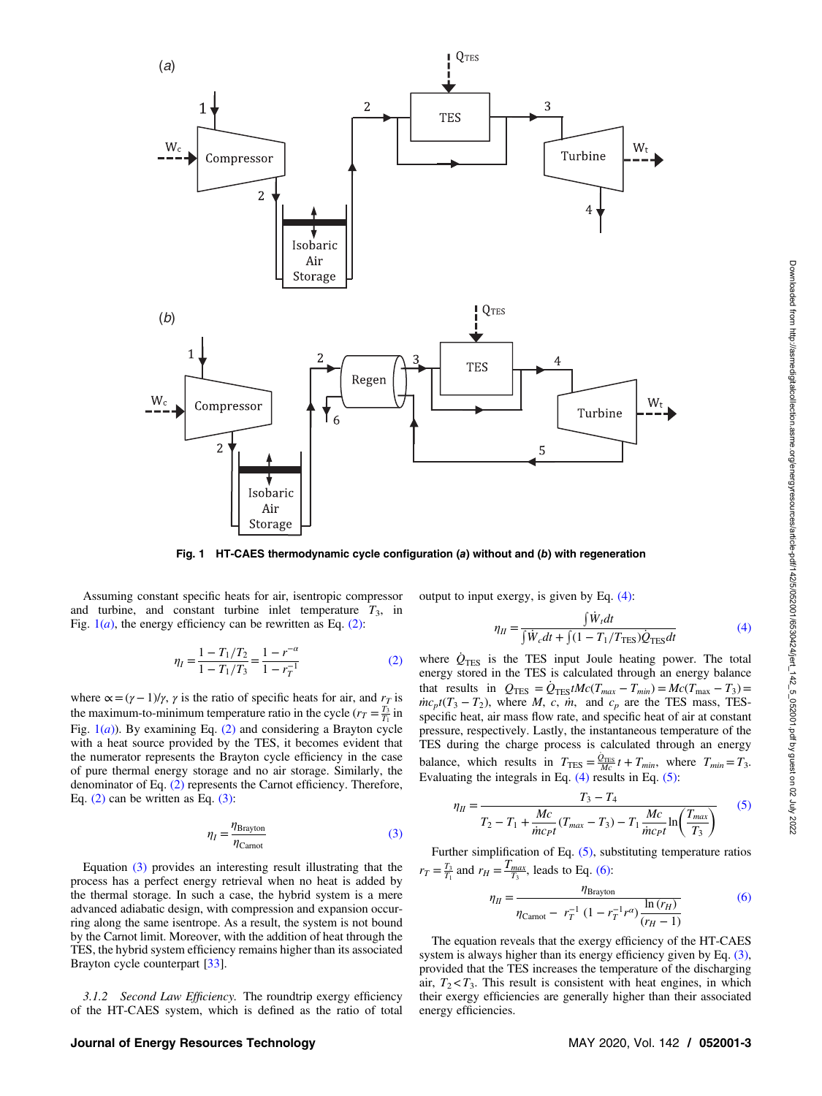<span id="page-2-0"></span>

Fig. 1 HT-CAES thermodynamic cycle configuration (a) without and (b) with regeneration

Assuming constant specific heats for air, isentropic compressor and turbine, and constant turbine inlet temperature  $T_3$ , in Fig.  $1(a)$ , the energy efficiency can be rewritten as Eq. (2):

$$
\eta_I = \frac{1 - T_1/T_2}{1 - T_1/T_3} = \frac{1 - r^{-\alpha}}{1 - r_T^{-1}}\tag{2}
$$

where  $\alpha = (\gamma - 1)/\gamma$ ,  $\gamma$  is the ratio of specific heats for air, and  $r<sub>T</sub>$  is the maximum-to-minimum temperature ratio in the cycle  $(r_T = \frac{T_3}{T_1})$  in Fig.  $1(a)$ ). By examining Eq. (2) and considering a Brayton cycle with a heat source provided by the TES, it becomes evident that the numerator represents the Brayton cycle efficiency in the case of pure thermal energy storage and no air storage. Similarly, the denominator of Eq. (2) represents the Carnot efficiency. Therefore, Eq.  $(2)$  can be written as Eq.  $(3)$ :

$$
\eta_I = \frac{\eta_{\text{Brayton}}}{\eta_{\text{Carnot}}}
$$
\n(3)

Equation (3) provides an interesting result illustrating that the process has a perfect energy retrieval when no heat is added by the thermal storage. In such a case, the hybrid system is a mere advanced adiabatic design, with compression and expansion occurring along the same isentrope. As a result, the system is not bound by the Carnot limit. Moreover, with the addition of heat through the TES, the hybrid system efficiency remains higher than its associated Brayton cycle counterpart [[33\]](#page-8-0).

3.1.2 Second Law Efficiency. The roundtrip exergy efficiency of the HT-CAES system, which is defined as the ratio of total output to input exergy, is given by Eq. (4):

$$
\eta_{II} = \frac{\int \dot{W}_t dt}{\int \dot{W}_c dt + \int (1 - T_1/T_{\text{TES}}) \dot{Q}_{\text{TES}} dt}
$$
(4)

where  $Q_{\text{TES}}$  is the TES input Joule heating power. The total energy stored in the TES is calculated through an energy balance that results in  $Q_{\text{TES}} = Q_{\text{TES}} tMc(T_{\text{max}} - T_{\text{min}}) = Mc(T_{\text{max}} - T_3) =$  $\dot{m}c_p t(T_3 - T_2)$ , where *M*, *c*, *m*, and  $c_p$  are the TES mass, TESspecific heat, air mass flow rate, and specific heat of air at constant pressure, respectively. Lastly, the instantaneous temperature of the TES during the charge process is calculated through an energy balance, which results in  $T_{\text{TES}} = \frac{\dot{Q}_{\text{TES}}}{Mc} t + T_{min}$ , where  $T_{min} = T_3$ . Evaluating the integrals in Eq. (4) results in Eq. (5):

$$
\eta_{II} = \frac{T_3 - T_4}{T_2 - T_1 + \frac{Mc}{\dot{m}c_{P}t}(T_{max} - T_3) - T_1 \frac{Mc}{\dot{m}c_{P}t} \ln\left(\frac{T_{max}}{T_3}\right)}
$$
(5)

Further simplification of Eq. (5), substituting temperature ratios  $r_T = \frac{T_3}{T_1}$  and  $r_H = \frac{T_{max}}{T_3}$ , leads to Eq. (6):

$$
\eta_{II} = \frac{\eta_{\text{Brayton}}}{\eta_{\text{Carnot}} - r_T^{-1} (1 - r_T^{-1} r^{\alpha}) \frac{\ln(r_H)}{(r_H - 1)}}
$$
(6)

The equation reveals that the exergy efficiency of the HT-CAES system is always higher than its energy efficiency given by Eq.  $(3)$ , provided that the TES increases the temperature of the discharging air,  $T_2 < T_3$ . This result is consistent with heat engines, in which their exergy efficiencies are generally higher than their associated energy efficiencies.

## Journal of Energy Resources Technology MAY 2020, Vol. 142 / 052001-3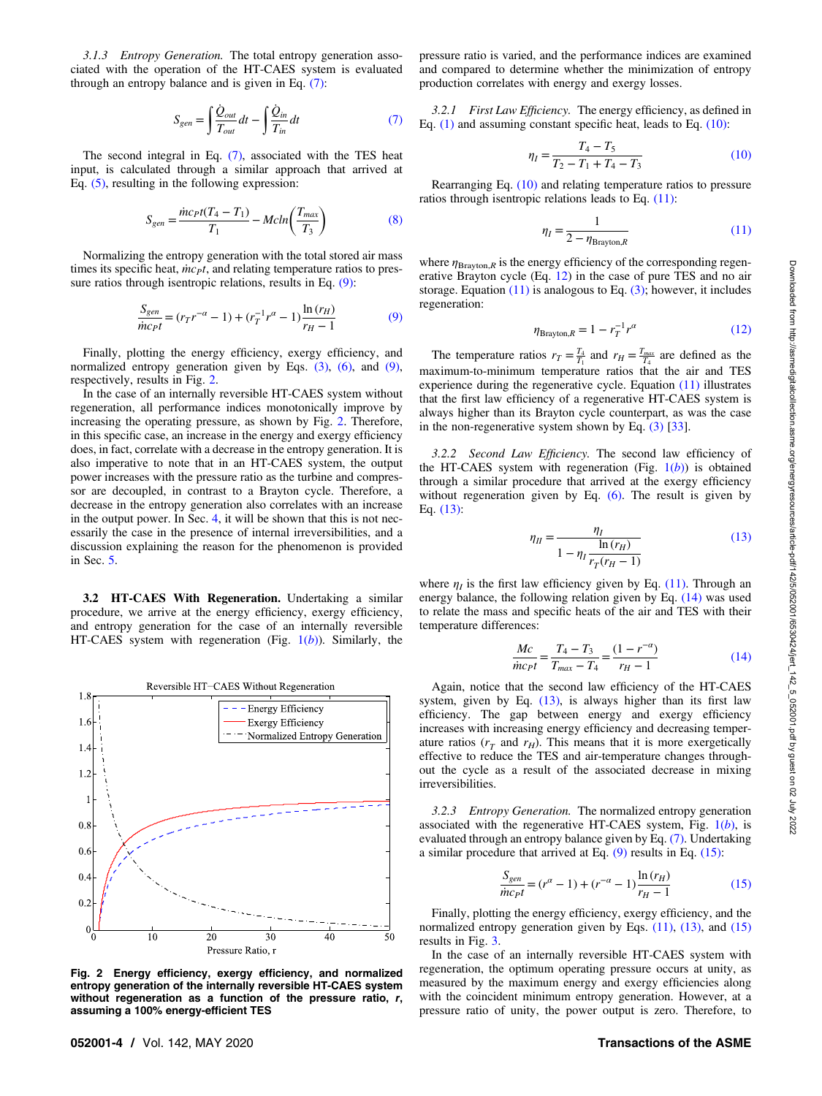<span id="page-3-0"></span>3.1.3 Entropy Generation. The total entropy generation associated with the operation of the HT-CAES system is evaluated through an entropy balance and is given in Eq. (7):

$$
S_{gen} = \int \frac{\dot{Q}_{out}}{T_{out}} dt - \int \frac{\dot{Q}_{in}}{T_{in}} dt
$$
 (7)

The second integral in Eq. (7), associated with the TES heat input, is calculated through a similar approach that arrived at Eq. [\(5\)](#page-2-0), resulting in the following expression:

$$
S_{gen} = \frac{inc_P t (T_4 - T_1)}{T_1} - Mcln\left(\frac{T_{max}}{T_3}\right) \tag{8}
$$

Normalizing the entropy generation with the total stored air mass times its specific heat,  $\dot{m}c$ <sup>t</sup>, and relating temperature ratios to pressure ratios through isentropic relations, results in Eq.  $(9)$ :

$$
\frac{S_{gen}}{\dot{m}c_{P}t} = (r_{T}r^{-\alpha} - 1) + (r_{T}^{-1}r^{\alpha} - 1)\frac{\ln(r_{H})}{r_{H} - 1}
$$
\n(9)

Finally, plotting the energy efficiency, exergy efficiency, and normalized entropy generation given by Eqs.  $(3)$ ,  $(6)$ , and  $(9)$ , respectively, results in Fig. 2.

In the case of an internally reversible HT-CAES system without regeneration, all performance indices monotonically improve by increasing the operating pressure, as shown by Fig. 2. Therefore, in this specific case, an increase in the energy and exergy efficiency does, in fact, correlate with a decrease in the entropy generation. It is also imperative to note that in an HT-CAES system, the output power increases with the pressure ratio as the turbine and compressor are decoupled, in contrast to a Brayton cycle. Therefore, a decrease in the entropy generation also correlates with an increase in the output power. In Sec. [4,](#page-4-0) it will be shown that this is not necessarily the case in the presence of internal irreversibilities, and a discussion explaining the reason for the phenomenon is provided in Sec. [5.](#page-6-0)

3.2 HT-CAES With Regeneration. Undertaking a similar procedure, we arrive at the energy efficiency, exergy efficiency, and entropy generation for the case of an internally reversible HT-CAES system with regeneration (Fig.  $1(b)$  $1(b)$ ). Similarly, the



Fig. 2 Energy efficiency, exergy efficiency, and normalized entropy generation of the internally reversible HT-CAES system without regeneration as a function of the pressure ratio,  $r$ , assuming a 100% energy-efficient TES

pressure ratio is varied, and the performance indices are examined and compared to determine whether the minimization of entropy production correlates with energy and exergy losses.

3.2.1 First Law Efficiency. The energy efficiency, as defined in Eq.  $(1)$  and assuming constant specific heat, leads to Eq.  $(10)$ :

$$
\eta_I = \frac{T_4 - T_5}{T_2 - T_1 + T_4 - T_3} \tag{10}
$$

Rearranging Eq. (10) and relating temperature ratios to pressure ratios through isentropic relations leads to Eq. (11):

$$
\eta_I = \frac{1}{2 - \eta_{\text{Brayton},R}}\tag{11}
$$

where  $\eta_{\text{Brayton},R}$  is the energy efficiency of the corresponding regenerative Brayton cycle (Eq. 12) in the case of pure TES and no air storage. Equation  $(11)$  is analogous to Eq.  $(3)$ ; however, it includes regeneration:

$$
\eta_{\text{Brayton},R} = 1 - r_T^{-1} r^{\alpha} \tag{12}
$$

The temperature ratios  $r_T = \frac{T_4}{T_1}$  and  $r_H = \frac{T_{max}}{T_4}$  are defined as the maximum-to-minimum temperature ratios that the air and TES experience during the regenerative cycle. Equation (11) illustrates that the first law efficiency of a regenerative HT-CAES system is always higher than its Brayton cycle counterpart, as was the case in the non-regenerative system shown by Eq. [\(3\)](#page-2-0) [\[33](#page-8-0)].

3.2.2 Second Law Efficiency. The second law efficiency of the HT-CAES system with regeneration (Fig.  $1(b)$  $1(b)$ ) is obtained through a similar procedure that arrived at the exergy efficiency without regeneration given by Eq.  $(6)$ . The result is given by Eq. (13):

$$
\eta_{II} = \frac{\eta_I}{1 - \eta_I \frac{\ln(r_H)}{r_T(r_H - 1)}}
$$
(13)

where  $\eta_I$  is the first law efficiency given by Eq. (11). Through an energy balance, the following relation given by Eq. (14) was used to relate the mass and specific heats of the air and TES with their temperature differences:

$$
\frac{Mc}{\dot{m}c_{P}t} = \frac{T_{4} - T_{3}}{T_{max} - T_{4}} = \frac{(1 - r^{-\alpha})}{r_{H} - 1}
$$
(14)

Again, notice that the second law efficiency of the HT-CAES system, given by Eq.  $(13)$ , is always higher than its first law efficiency. The gap between energy and exergy efficiency increases with increasing energy efficiency and decreasing temperature ratios ( $r_T$  and  $r_H$ ). This means that it is more exergetically effective to reduce the TES and air-temperature changes throughout the cycle as a result of the associated decrease in mixing irreversibilities.

3.2.3 Entropy Generation. The normalized entropy generation associated with the regenerative HT-CAES system, Fig.  $1(b)$  $1(b)$ , is evaluated through an entropy balance given by Eq. (7). Undertaking a similar procedure that arrived at Eq.  $(9)$  results in Eq.  $(15)$ :

$$
\frac{S_{gen}}{mcpt} = (r^{\alpha} - 1) + (r^{-\alpha} - 1)\frac{\ln(r_H)}{r_H - 1}
$$
(15)

Finally, plotting the energy efficiency, exergy efficiency, and the normalized entropy generation given by Eqs.  $(11)$ ,  $(13)$ , and  $(15)$ results in Fig. [3.](#page-4-0)

In the case of an internally reversible HT-CAES system with regeneration, the optimum operating pressure occurs at unity, as measured by the maximum energy and exergy efficiencies along with the coincident minimum entropy generation. However, at a pressure ratio of unity, the power output is zero. Therefore, to

## 052001-4 / Vol. 142, MAY 2020 **Transactions of the ASME**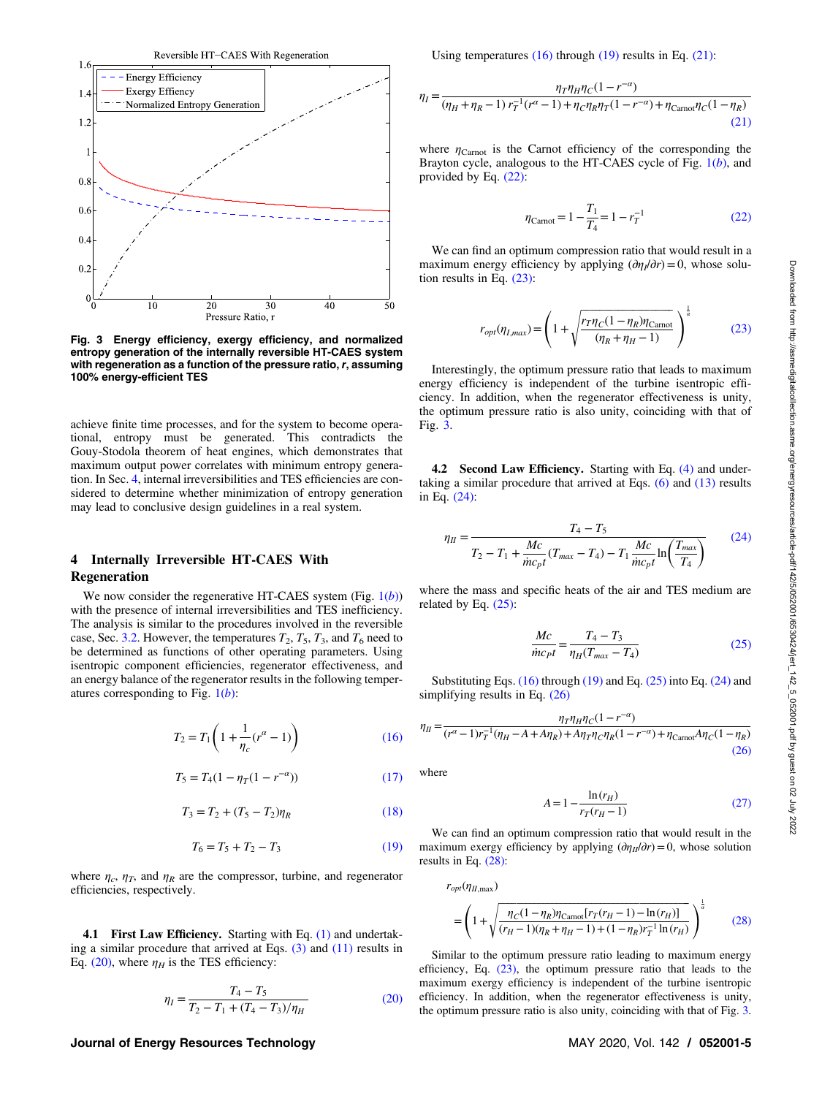<span id="page-4-0"></span>

Fig. 3 Energy efficiency, exergy efficiency, and normalized entropy generation of the internally reversible HT-CAES system with regeneration as a function of the pressure ratio, r, assuming 100% energy-efficient TES

achieve finite time processes, and for the system to become operational, entropy must be generated. This contradicts the Gouy-Stodola theorem of heat engines, which demonstrates that maximum output power correlates with minimum entropy generation. In Sec. 4, internal irreversibilities and TES efficiencies are considered to determine whether minimization of entropy generation may lead to conclusive design guidelines in a real system.

## 4 Internally Irreversible HT-CAES With Regeneration

We now consider the regenerative HT-CAES system (Fig.  $1(b)$  $1(b)$ ) with the presence of internal irreversibilities and TES inefficiency. The analysis is similar to the procedures involved in the reversible case, Sec. [3.2](#page-3-0). However, the temperatures  $T_2$ ,  $T_5$ ,  $T_3$ , and  $T_6$  need to be determined as functions of other operating parameters. Using isentropic component efficiencies, regenerator effectiveness, and an energy balance of the regenerator results in the following temperatures corresponding to Fig.  $1(b)$  $1(b)$ :

$$
T_2 = T_1 \left( 1 + \frac{1}{\eta_c} (r^a - 1) \right) \tag{16}
$$

$$
T_5 = T_4(1 - \eta_T(1 - r^{-\alpha}))\tag{17}
$$

$$
T_3 = T_2 + (T_5 - T_2)\eta_R \tag{18}
$$

$$
T_6 = T_5 + T_2 - T_3 \tag{19}
$$

where  $\eta_c$ ,  $\eta_T$ , and  $\eta_R$  are the compressor, turbine, and regenerator efficiencies, respectively.

4.1 First Law Efficiency. Starting with Eq. [\(1\)](#page-1-0) and undertaking a similar procedure that arrived at Eqs. [\(3\)](#page-2-0) and [\(11\)](#page-3-0) results in Eq. (20), where  $\eta_H$  is the TES efficiency:

$$
\eta_I = \frac{T_4 - T_5}{T_2 - T_1 + (T_4 - T_3)/\eta_H} \tag{20}
$$

## Journal of Energy Resources Technology MAY 2020, Vol. 142 / 052001-5

Using temperatures  $(16)$  through  $(19)$  results in Eq.  $(21)$ :

$$
\eta_I = \frac{\eta_T \eta_H \eta_C (1 - r^{-\alpha})}{(\eta_H + \eta_R - 1) r_I^{-1} (r^{\alpha} - 1) + \eta_C \eta_R \eta_T (1 - r^{-\alpha}) + \eta_{\text{Carnot}} \eta_C (1 - \eta_R)}
$$
(21)

where  $\eta_{Carnot}$  is the Carnot efficiency of the corresponding the Brayton cycle, analogous to the HT-CAES cycle of Fig.  $1(b)$  $1(b)$ , and provided by Eq. (22):

$$
\eta_{\text{Carnot}} = 1 - \frac{T_1}{T_4} = 1 - r_T^{-1} \tag{22}
$$

We can find an optimum compression ratio that would result in a maximum energy efficiency by applying  $(\partial \eta_l/\partial r) = 0$ , whose solution results in Eq. (23):

$$
r_{opt}(\eta_{I,max}) = \left(1 + \sqrt{\frac{r_T \eta_C (1 - \eta_R) \eta_{Carnot}}{(\eta_R + \eta_H - 1)}}\right)^{\frac{1}{\alpha}}
$$
(23)

Interestingly, the optimum pressure ratio that leads to maximum energy efficiency is independent of the turbine isentropic efficiency. In addition, when the regenerator effectiveness is unity, the optimum pressure ratio is also unity, coinciding with that of Fig. 3.

4.2 Second Law Efficiency. Starting with Eq. [\(4\)](#page-2-0) and undertaking a similar procedure that arrived at Eqs.  $(6)$  and  $(13)$  results in Eq. (24):

$$
\eta_{II} = \frac{T_4 - T_5}{T_2 - T_1 + \frac{Mc}{\dot{mc}_{pt}}(T_{max} - T_4) - T_1 \frac{Mc}{\dot{mc}_{pt}} \ln\left(\frac{T_{max}}{T_4}\right)}
$$
(24)

where the mass and specific heats of the air and TES medium are related by Eq.  $(25)$ :

$$
\frac{Mc}{\dot{m}c_{pt}} = \frac{T_4 - T_3}{\eta_H(T_{max} - T_4)}
$$
(25)

Substituting Eqs. (16) through (19) and Eq. (25) into Eq. (24) and simplifying results in Eq. (26)

$$
\eta_{II} = \frac{\eta_{T}\eta_{H}\eta_{C}(1 - r^{-\alpha})}{(r^{\alpha} - 1)r_{I}^{-1}(\eta_{H} - A + A\eta_{R}) + A\eta_{T}\eta_{C}\eta_{R}(1 - r^{-\alpha}) + \eta_{Carnot}A\eta_{C}(1 - \eta_{R})}
$$
\n(26)

where

$$
A = 1 - \frac{\ln(r_H)}{r_T(r_H - 1)}
$$
 (27)

We can find an optimum compression ratio that would result in the maximum exergy efficiency by applying  $(\partial \eta_{II}/\partial r) = 0$ , whose solution results in Eq. (28):

$$
r_{opt}(\eta_{H,\max}) = \left(1 + \sqrt{\frac{\eta_C(1 - \eta_R)\eta_{\text{Carnot}}[r_T(r_H - 1) - \ln(r_H)]}{(r_H - 1)(\eta_R + \eta_H - 1) + (1 - \eta_R)r_T^{-1}\ln(r_H)}}\right)^{\frac{1}{\alpha}}
$$
(28)

Similar to the optimum pressure ratio leading to maximum energy efficiency, Eq. (23), the optimum pressure ratio that leads to the maximum exergy efficiency is independent of the turbine isentropic efficiency. In addition, when the regenerator effectiveness is unity, the optimum pressure ratio is also unity, coinciding with that of Fig. 3.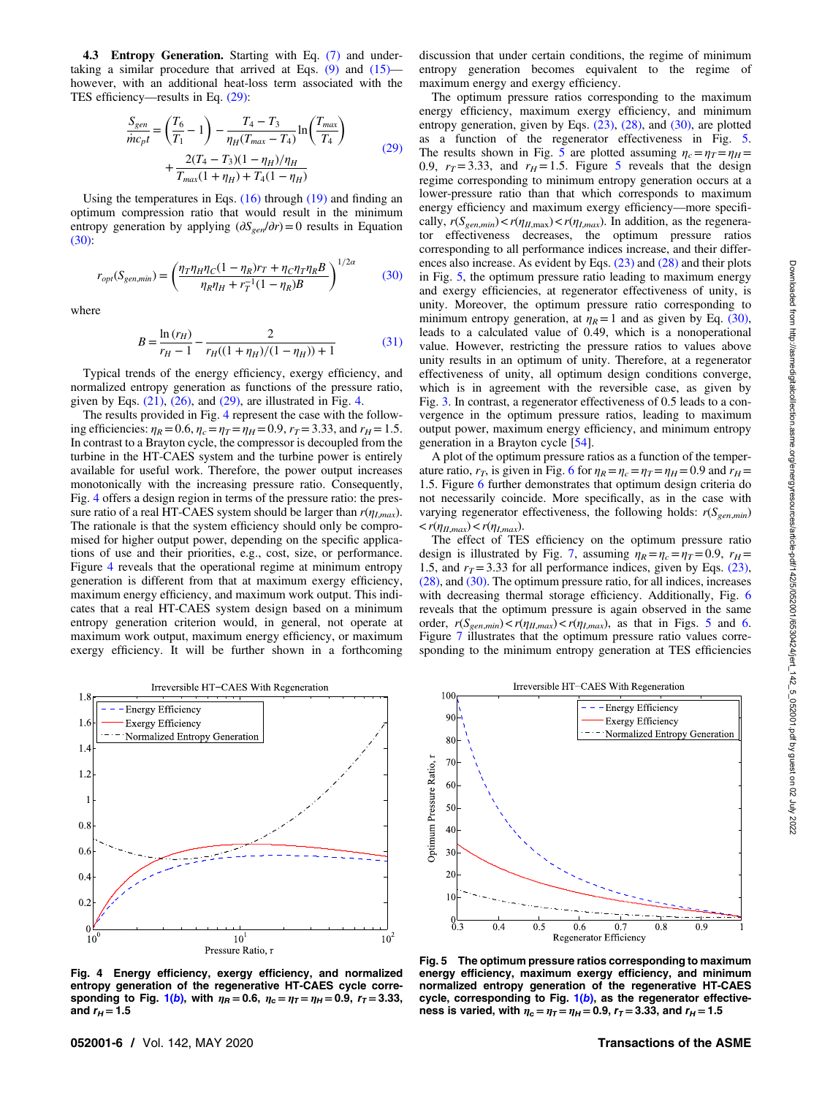<span id="page-5-0"></span>4.3 Entropy Generation. Starting with Eq. [\(7\)](#page-3-0) and undertaking a similar procedure that arrived at Eqs.  $(9)$  and  $(15)$ however, with an additional heat-loss term associated with the TES efficiency—results in Eq. (29):

$$
\frac{S_{gen}}{\dot{m}c_{pt}} = \left(\frac{T_6}{T_1} - 1\right) - \frac{T_4 - T_3}{\eta_H (T_{max} - T_4)} \ln\left(\frac{T_{max}}{T_4}\right) + \frac{2(T_4 - T_3)(1 - \eta_H)/\eta_H}{T_{max}(1 + \eta_H) + T_4(1 - \eta_H)}
$$
\n(29)

Using the temperatures in Eqs. [\(16\)](#page-4-0) through [\(19\)](#page-4-0) and finding an optimum compression ratio that would result in the minimum entropy generation by applying  $(\partial S_{gen}/\partial r)=0$  results in Equation (30):

$$
r_{opt}(S_{gen,min}) = \left(\frac{\eta_T \eta_H \eta_C (1 - \eta_R) r_T + \eta_C \eta_T \eta_R B}{\eta_R \eta_H + r_T^{-1} (1 - \eta_R) B}\right)^{1/2\alpha}
$$
(30)

where

$$
B = \frac{\ln(r_H)}{r_H - 1} - \frac{2}{r_H((1 + \eta_H)/(1 - \eta_H)) + 1}
$$
(31)

Typical trends of the energy efficiency, exergy efficiency, and normalized entropy generation as functions of the pressure ratio, given by Eqs.  $(21)$ ,  $(26)$ , and  $(29)$ , are illustrated in Fig. 4.

The results provided in Fig. 4 represent the case with the following efficiencies:  $\eta_R = 0.6$ ,  $\eta_c = \eta_T = \eta_H = 0.9$ ,  $r_T = 3.33$ , and  $r_H = 1.5$ . In contrast to a Brayton cycle, the compressor is decoupled from the turbine in the HT-CAES system and the turbine power is entirely available for useful work. Therefore, the power output increases monotonically with the increasing pressure ratio. Consequently, Fig. 4 offers a design region in terms of the pressure ratio: the pressure ratio of a real HT-CAES system should be larger than  $r(\eta_{Lmax})$ . The rationale is that the system efficiency should only be compromised for higher output power, depending on the specific applications of use and their priorities, e.g., cost, size, or performance. Figure 4 reveals that the operational regime at minimum entropy generation is different from that at maximum exergy efficiency, maximum energy efficiency, and maximum work output. This indicates that a real HT-CAES system design based on a minimum entropy generation criterion would, in general, not operate at maximum work output, maximum energy efficiency, or maximum exergy efficiency. It will be further shown in a forthcoming



Fig. 4 Energy efficiency, exergy efficiency, and normalized entropy generation of the regenerative HT-CAES cycle corre-sponding to Fig. [1\(](#page-2-0)b), with  $\eta_R = 0.6$ ,  $\eta_c = \eta_T = \eta_H = 0.9$ ,  $r_T = 3.33$ , and  $r_H = 1.5$ 

discussion that under certain conditions, the regime of minimum entropy generation becomes equivalent to the regime of maximum energy and exergy efficiency.

The optimum pressure ratios corresponding to the maximum energy efficiency, maximum exergy efficiency, and minimum entropy generation, given by Eqs. [\(23\),](#page-4-0) [\(28\),](#page-4-0) and (30), are plotted as a function of the regenerator effectiveness in Fig. 5. The results shown in Fig. 5 are plotted assuming  $\eta_c = \eta_T = \eta_H =$ 0.9,  $r_T = 3.33$ , and  $r_H = 1.5$ . Figure 5 reveals that the design regime corresponding to minimum entropy generation occurs at a lower-pressure ratio than that which corresponds to maximum energy efficiency and maximum exergy efficiency—more specifically,  $r(S_{gen,min}) < r(\eta_{H,\text{max}}) < r(\eta_{L,\text{max}})$ . In addition, as the regenerator effectiveness decreases, the optimum pressure ratios corresponding to all performance indices increase, and their differences also increase. As evident by Eqs. [\(23\)](#page-4-0) and [\(28\)](#page-4-0) and their plots in Fig. 5, the optimum pressure ratio leading to maximum energy and exergy efficiencies, at regenerator effectiveness of unity, is unity. Moreover, the optimum pressure ratio corresponding to minimum entropy generation, at  $\eta_R=1$  and as given by Eq. (30), leads to a calculated value of 0.49, which is a nonoperational value. However, restricting the pressure ratios to values above unity results in an optimum of unity. Therefore, at a regenerator effectiveness of unity, all optimum design conditions converge, which is in agreement with the reversible case, as given by Fig. [3.](#page-4-0) In contrast, a regenerator effectiveness of 0.5 leads to a convergence in the optimum pressure ratios, leading to maximum output power, maximum energy efficiency, and minimum entropy generation in a Brayton cycle [\[54](#page-8-0)].

A plot of the optimum pressure ratios as a function of the temperature ratio,  $r_T$ , is given in Fig. [6](#page-6-0) for  $\eta_R = \eta_c = \eta_T = \eta_H = 0.9$  and  $r_H =$ 1.5. Figure [6](#page-6-0) further demonstrates that optimum design criteria do not necessarily coincide. More specifically, as in the case with varying regenerator effectiveness, the following holds:  $r(S_{gen,min})$  $\langle r(\eta_{II,max}) \langle r(\eta_{I,max}).$ 

The effect of TES efficiency on the optimum pressure ratio design is illustrated by Fig. [7](#page-6-0), assuming  $\eta_R = \eta_c = \eta_T = 0.9$ ,  $r_H =$ 1.5, and  $r_T = 3.33$  for all performance indices, given by Eqs. [\(23\),](#page-4-0) [\(28\),](#page-4-0) and (30). The optimum pressure ratio, for all indices, increases with decreasing thermal storage efficiency. Additionally, Fig. [6](#page-6-0) reveals that the optimum pressure is again observed in the same order,  $r(S_{gen,min}) < r(\eta_{II,max}) < r(\eta_{I,max})$ , as that in Figs. 5 and [6.](#page-6-0) Figure [7](#page-6-0) illustrates that the optimum pressure ratio values corresponding to the minimum entropy generation at TES efficiencies



Fig. 5 The optimum pressure ratios corresponding to maximum energy efficiency, maximum exergy efficiency, and minimum normalized entropy generation of the regenerative HT-CAES cycle, corresponding to Fig.  $1(b)$  $1(b)$ , as the regenerator effectiveness is varied, with  $\eta_c = \eta_T = \eta_H = 0.9$ ,  $r_T = 3.33$ , and  $r_H = 1.5$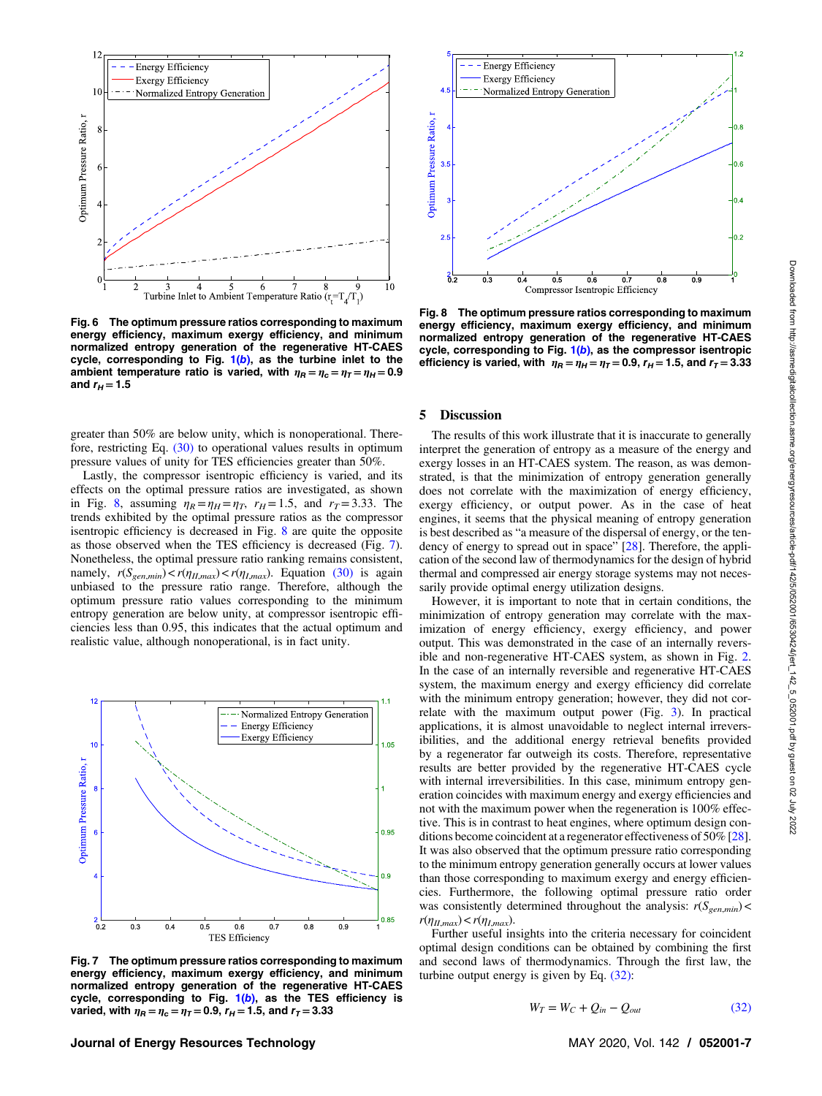<span id="page-6-0"></span>

Fig. 6 The optimum pressure ratios corresponding to maximum energy efficiency, maximum exergy efficiency, and minimum normalized entropy generation of the regenerative HT-CAES cycle, corresponding to Fig.  $1(b)$  $1(b)$ , as the turbine inlet to the ambient temperature ratio is varied, with  $\eta_R = \eta_c = \eta_T = \eta_H = 0.9$ and  $r_H = 1.5$ 

greater than 50% are below unity, which is nonoperational. Therefore, restricting Eq. [\(30\)](#page-5-0) to operational values results in optimum pressure values of unity for TES efficiencies greater than 50%.

Lastly, the compressor isentropic efficiency is varied, and its effects on the optimal pressure ratios are investigated, as shown in Fig. 8, assuming  $\eta_R = \eta_H = \eta_T$ ,  $r_H = 1.5$ , and  $r_T = 3.33$ . The trends exhibited by the optimal pressure ratios as the compressor isentropic efficiency is decreased in Fig. 8 are quite the opposite as those observed when the TES efficiency is decreased (Fig. 7). Nonetheless, the optimal pressure ratio ranking remains consistent, namely,  $r(S_{gen,min}) < r(\eta_{II,max}) < r(\eta_{I,max})$ . Equation [\(30\)](#page-5-0) is again unbiased to the pressure ratio range. Therefore, although the optimum pressure ratio values corresponding to the minimum entropy generation are below unity, at compressor isentropic efficiencies less than 0.95, this indicates that the actual optimum and realistic value, although nonoperational, is in fact unity.



Fig. 7 The optimum pressure ratios corresponding to maximum energy efficiency, maximum exergy efficiency, and minimum normalized entropy generation of the regenerative HT-CAES cycle, corresponding to Fig.  $1(b)$  $1(b)$ , as the TES efficiency is varied, with  $\eta_R = \eta_c = \eta_T = 0.9$ ,  $r_H = 1.5$ , and  $r_T = 3.33$ 



Fig. 8 The optimum pressure ratios corresponding to maximum energy efficiency, maximum exergy efficiency, and minimum normalized entropy generation of the regenerative HT-CAES cycle, corresponding to Fig.  $1(b)$  $1(b)$ , as the compressor isentropic efficiency is varied, with  $\eta_R = \eta_H = \eta_T = 0.9$ ,  $r_H = 1.5$ , and  $r_T = 3.33$ 

## 5 Discussion

The results of this work illustrate that it is inaccurate to generally interpret the generation of entropy as a measure of the energy and exergy losses in an HT-CAES system. The reason, as was demonstrated, is that the minimization of entropy generation generally does not correlate with the maximization of energy efficiency, exergy efficiency, or output power. As in the case of heat engines, it seems that the physical meaning of entropy generation is best described as "a measure of the dispersal of energy, or the ten-dency of energy to spread out in space" [\[28](#page-8-0)]. Therefore, the application of the second law of thermodynamics for the design of hybrid thermal and compressed air energy storage systems may not necessarily provide optimal energy utilization designs.

However, it is important to note that in certain conditions, the minimization of entropy generation may correlate with the maximization of energy efficiency, exergy efficiency, and power output. This was demonstrated in the case of an internally reversible and non-regenerative HT-CAES system, as shown in Fig. [2.](#page-3-0) In the case of an internally reversible and regenerative HT-CAES system, the maximum energy and exergy efficiency did correlate with the minimum entropy generation; however, they did not correlate with the maximum output power (Fig. [3](#page-4-0)). In practical applications, it is almost unavoidable to neglect internal irreversibilities, and the additional energy retrieval benefits provided by a regenerator far outweigh its costs. Therefore, representative results are better provided by the regenerative HT-CAES cycle with internal irreversibilities. In this case, minimum entropy generation coincides with maximum energy and exergy efficiencies and not with the maximum power when the regeneration is 100% effective. This is in contrast to heat engines, where optimum design conditions become coincident at a regenerator effectiveness of 50% [[28\]](#page-8-0). It was also observed that the optimum pressure ratio corresponding to the minimum entropy generation generally occurs at lower values than those corresponding to maximum exergy and energy efficiencies. Furthermore, the following optimal pressure ratio order was consistently determined throughout the analysis:  $r(S_{gen,min})$  <  $r(\eta_{II,max}) < r(\eta_{I,max}).$ 

Further useful insights into the criteria necessary for coincident optimal design conditions can be obtained by combining the first and second laws of thermodynamics. Through the first law, the turbine output energy is given by Eq. (32):

$$
W_T = W_C + Q_{in} - Q_{out} \tag{32}
$$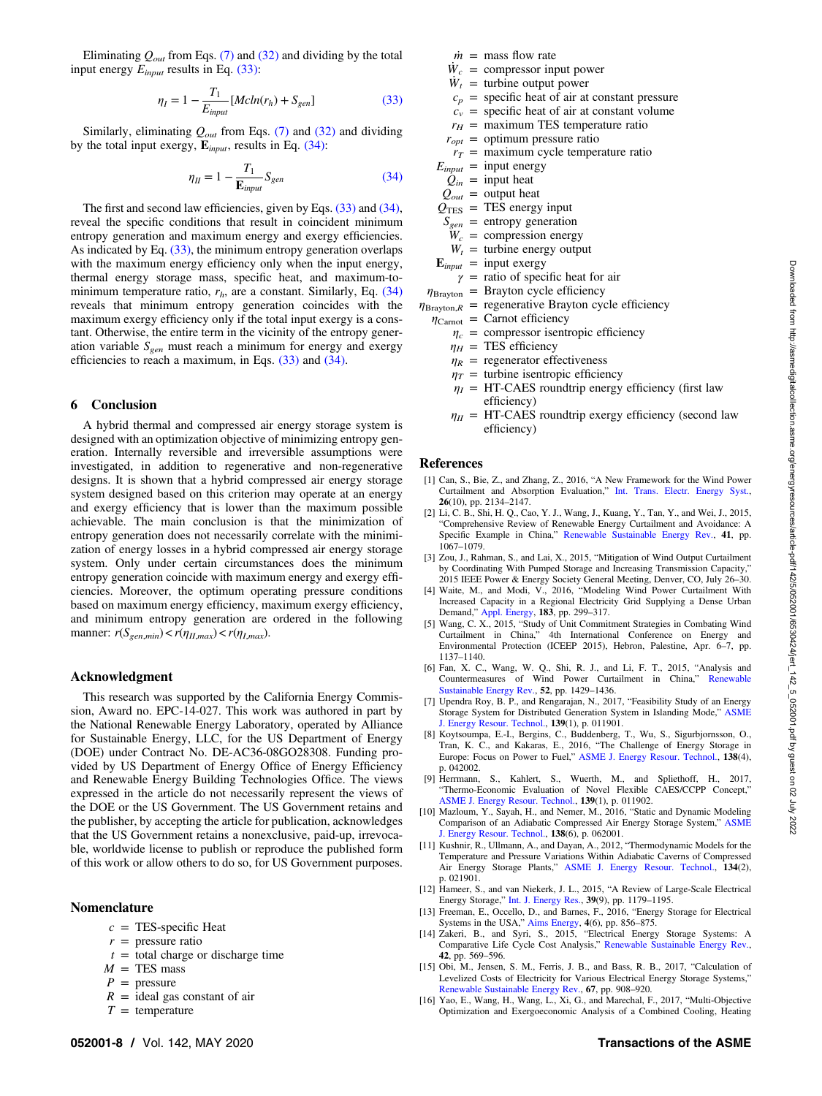Eliminating  $Q_{out}$  from Eqs. [\(7\)](#page-3-0) and [\(32\)](#page-6-0) and dividing by the total input energy  $E_{input}$  results in Eq. (33):

$$
\eta_I = 1 - \frac{T_1}{E_{input}} [Mcln(r_h) + S_{gen}] \tag{33}
$$

Similarly, eliminating  $Q_{out}$  from Eqs. [\(7\)](#page-3-0) and [\(32\)](#page-6-0) and dividing by the total input exergy,  $E_{input}$ , results in Eq. (34):

$$
\eta_{II} = 1 - \frac{T_1}{\mathbf{E}_{input}} S_{gen} \tag{34}
$$

The first and second law efficiencies, given by Eqs. (33) and (34), reveal the specific conditions that result in coincident minimum entropy generation and maximum energy and exergy efficiencies. As indicated by Eq. (33), the minimum entropy generation overlaps with the maximum energy efficiency only when the input energy, thermal energy storage mass, specific heat, and maximum-tominimum temperature ratio,  $r<sub>h</sub>$ , are a constant. Similarly, Eq. (34) reveals that minimum entropy generation coincides with the maximum exergy efficiency only if the total input exergy is a constant. Otherwise, the entire term in the vicinity of the entropy generation variable  $S_{gen}$  must reach a minimum for energy and exergy efficiencies to reach a maximum, in Eqs.  $(33)$  and  $(34)$ .

#### 6 Conclusion

A hybrid thermal and compressed air energy storage system is designed with an optimization objective of minimizing entropy generation. Internally reversible and irreversible assumptions were investigated, in addition to regenerative and non-regenerative designs. It is shown that a hybrid compressed air energy storage system designed based on this criterion may operate at an energy and exergy efficiency that is lower than the maximum possible achievable. The main conclusion is that the minimization of entropy generation does not necessarily correlate with the minimization of energy losses in a hybrid compressed air energy storage system. Only under certain circumstances does the minimum entropy generation coincide with maximum energy and exergy efficiencies. Moreover, the optimum operating pressure conditions based on maximum energy efficiency, maximum exergy efficiency, and minimum entropy generation are ordered in the following manner:  $r(S_{gen,min}) < r(\eta_{II,max}) < r(\eta_{I,max}).$ 

### Acknowledgment

This research was supported by the California Energy Commission, Award no. EPC-14-027. This work was authored in part by the National Renewable Energy Laboratory, operated by Alliance for Sustainable Energy, LLC, for the US Department of Energy (DOE) under Contract No. DE-AC36-08GO28308. Funding provided by US Department of Energy Office of Energy Efficiency and Renewable Energy Building Technologies Office. The views expressed in the article do not necessarily represent the views of the DOE or the US Government. The US Government retains and the publisher, by accepting the article for publication, acknowledges that the US Government retains a nonexclusive, paid-up, irrevocable, worldwide license to publish or reproduce the published form of this work or allow others to do so, for US Government purposes.

## Nomenclature

- $c = \text{TES-specific Heat}$
- $r =$  pressure ratio
- $t =$  total charge or discharge time
- $M = TES$  mass
- $P =$  pressure
- $R =$  ideal gas constant of air
- $T =$  temperature
- $\dot{m}$  = mass flow rate
- $\dot{W}_c$  = compressor input power
- $\dot{W}_t$  = turbine output power
- $c_p$  = specific heat of air at constant pressure
- $c_v$  = specific heat of air at constant volume
- $r_H$  = maximum TES temperature ratio
- $r_{opt}$  = optimum pressure ratio
- $r_T$  = maximum cycle temperature ratio
- $E_{input}$  = input energy  $\hat{Q}_{in}$  = input heat
- 
- $Q_{out}$  = output heat
- $Q_{\text{TES}}$  = TES energy input
- $S_{gen}$  = entropy generation  $W_c$  = compression energy
- $W_t$  = turbine energy output
- 
- $\mathbf{E}_{input}$  = input exergy
	- $\gamma$  = ratio of specific heat for air
- $\eta_{\text{Brayton}} =$  Brayton cycle efficiency
- $\eta_{\text{Brayton},R}$  = regenerative Brayton cycle efficiency
- $\eta_{\text{Carnot}} = \text{Carnot efficiency}$ 
	- $\eta_c$  = compressor isentropic efficiency
	- $\eta_H$  = TES efficiency
	- $\eta_R$  = regenerator effectiveness
	- $\eta_T$  = turbine isentropic efficiency
	- $\eta_I$  = HT-CAES roundtrip energy efficiency (first law efficiency)
	- $\eta_{II}$  = HT-CAES roundtrip exergy efficiency (second law efficiency)

### References

- [1] Can, S., Bie, Z., and Zhang, Z., 2016, "A New Framework for the Wind Power Curtailment and Absorption Evaluation," [Int. Trans. Electr. Energy Syst.](http://dx.doi.org/10.1002/etep.2194), 26(10), pp. 2134–2147.
- [2] Li, C. B., Shi, H. Q., Cao, Y. J., Wang, J., Kuang, Y., Tan, Y., and Wei, J., 2015, "Comprehensive Review of Renewable Energy Curtailment and Avoidance: A Specific Example in China," [Renewable Sustainable Energy Rev.,](https://dx.doi.org/10.1016/j.rser.2014.09.009) 41, pp. 1067–1079.
- [3] Zou, J., Rahman, S., and Lai, X., 2015, "Mitigation of Wind Output Curtailment by Coordinating With Pumped Storage and Increasing Transmission Capacity," 2015 IEEE Power & Energy Society General Meeting, Denver, CO, July 26–30.
- [4] Waite, M., and Modi, V., 2016, "Modeling Wind Power Curtailment With Increased Capacity in a Regional Electricity Grid Supplying a Dense Urban Demand," [Appl. Energy](https://dx.doi.org/10.1016/j.apenergy.2016.08.078), 183, pp. 299–317.
- [5] Wang, C. X., 2015, "Study of Unit Commitment Strategies in Combating Wind Curtailment in China," 4th International Conference on Energy and Environmental Protection (ICEEP 2015), Hebron, Palestine, Apr. 6–7, pp. 1137–1140.
- [6] Fan, X. C., Wang, W. Q., Shi, R. J., and Li, F. T., 2015, "Analysis and Countermeasures of Wind Power Curtailment in China," [Sustainable Energy Rev.,](https://dx.doi.org/10.1016/j.rser.2015.08.025) 52, pp. 1429-1436.
- [7] Upendra Roy, B. P., and Rengarajan, N., 2017, "Feasibility Study of an Energy Storage System for Distributed Generation System in Islanding Mode," [ASME](http://dx.doi.org/10.1115/1.4033857) [J. Energy Resour. Technol.](http://dx.doi.org/10.1115/1.4033857), 139(1), p. 011901.
- [8] Koytsoumpa, E.-I., Bergins, C., Buddenberg, T., Wu, S., Sigurbjornsson, O., Tran, K. C., and Kakaras, E., 2016, "The Challenge of Energy Storage in Europe: Focus on Power to Fuel," [ASME J. Energy Resour. Technol.](http://dx.doi.org/10.1115/1.4032544), 138(4), p. 042002.
- [9] Herrmann, S., Kahlert, S., Wuerth, M., and Spliethoff, H., 2017, "Thermo-Economic Evaluation of Novel Flexible CAES/CCPP Concept," [ASME J. Energy Resour. Technol.,](http://dx.doi.org/10.1115/1.4035424) 139(1), p. 011902.
- [10] Mazloum, Y., Sayah, H., and Nemer, M., 2016, "Static and Dynamic Modeling Comparison of an Adiabatic Compressed Air Energy Storage System," [ASME](http://dx.doi.org/10.1115/1.4033399) [J. Energy Resour. Technol.](http://dx.doi.org/10.1115/1.4033399), 138(6), p. 062001.
- [11] Kushnir, R., Ullmann, A., and Dayan, A., 2012, "Thermodynamic Models for the Temperature and Pressure Variations Within Adiabatic Caverns of Compressed Air Energy Storage Plants," [ASME J. Energy Resour. Technol.](http://dx.doi.org/10.1115/1.4005659), 134(2), p. 021901.
- [12] Hameer, S., and van Niekerk, J. L., 2015, "A Review of Large-Scale Electrical Energy Storage," [Int. J. Energy Res.,](http://dx.doi.org/10.1002/er.3294) 39(9), pp. 1179–1195.
- [13] Freeman, E., Occello, D., and Barnes, F., 2016, "Energy Storage for Electrical Systems in the USA," [Aims Energy,](http://dx.doi.org/10.3934/energy.2016.6.856) 4(6), pp. 856–875. [14] Zakeri, B., and Syri, S., 2015, "Electrical Energy Storage Systems: A
- Comparative Life Cycle Cost Analysis," [Renewable Sustainable Energy Rev.](https://dx.doi.org/10.1016/j.rser.2014.10.011), 42, pp. 569–596.
- [15] Obi, M., Jensen, S. M., Ferris, J. B., and Bass, R. B., 2017, "Calculation of Levelized Costs of Electricity for Various Electrical Energy Storage Systems,' [Renewable Sustainable Energy Rev.,](https://dx.doi.org/10.1016/j.rser.2016.09.043) 67, pp. 908–920.
- [16] Yao, E., Wang, H., Wang, L., Xi, G., and Marechal, F., 2017, "Multi-Objective Optimization and Exergoeconomic Analysis of a Combined Cooling, Heating